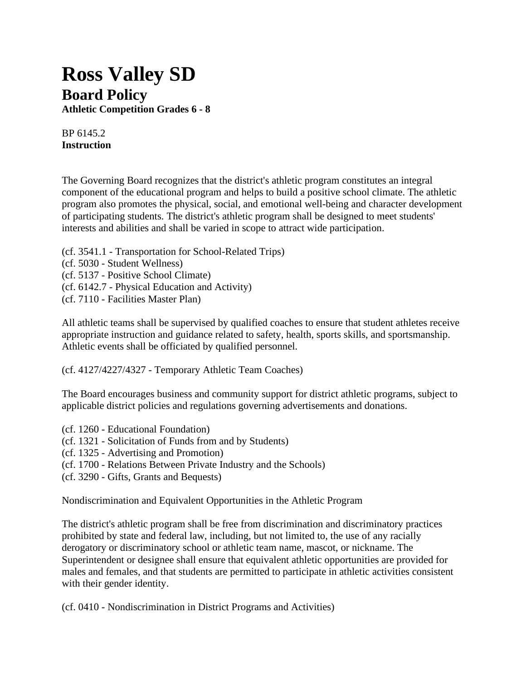## **Ross Valley SD Board Policy**

**Athletic Competition Grades 6 - 8**

BP 6145.2 **Instruction**

The Governing Board recognizes that the district's athletic program constitutes an integral component of the educational program and helps to build a positive school climate. The athletic program also promotes the physical, social, and emotional well-being and character development of participating students. The district's athletic program shall be designed to meet students' interests and abilities and shall be varied in scope to attract wide participation.

- (cf. 3541.1 Transportation for School-Related Trips)
- (cf. 5030 Student Wellness)
- (cf. 5137 Positive School Climate)
- (cf. 6142.7 Physical Education and Activity)
- (cf. 7110 Facilities Master Plan)

All athletic teams shall be supervised by qualified coaches to ensure that student athletes receive appropriate instruction and guidance related to safety, health, sports skills, and sportsmanship. Athletic events shall be officiated by qualified personnel.

(cf. 4127/4227/4327 - Temporary Athletic Team Coaches)

The Board encourages business and community support for district athletic programs, subject to applicable district policies and regulations governing advertisements and donations.

- (cf. 1260 Educational Foundation)
- (cf. 1321 Solicitation of Funds from and by Students)
- (cf. 1325 Advertising and Promotion)
- (cf. 1700 Relations Between Private Industry and the Schools)
- (cf. 3290 Gifts, Grants and Bequests)

Nondiscrimination and Equivalent Opportunities in the Athletic Program

The district's athletic program shall be free from discrimination and discriminatory practices prohibited by state and federal law, including, but not limited to, the use of any racially derogatory or discriminatory school or athletic team name, mascot, or nickname. The Superintendent or designee shall ensure that equivalent athletic opportunities are provided for males and females, and that students are permitted to participate in athletic activities consistent with their gender identity.

(cf. 0410 - Nondiscrimination in District Programs and Activities)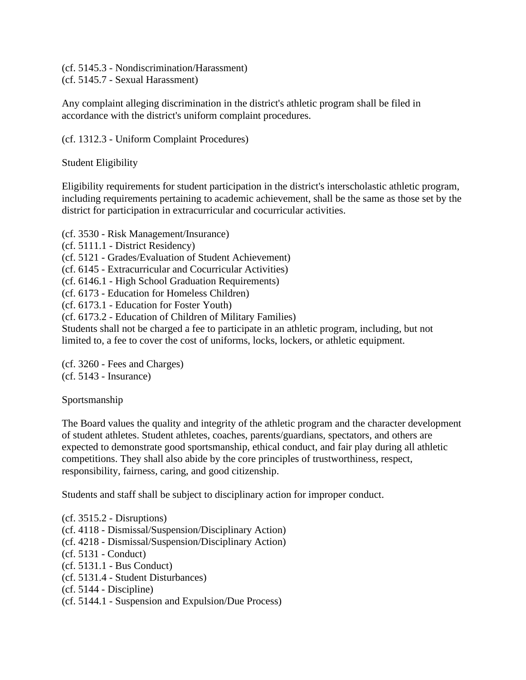(cf. 5145.3 - Nondiscrimination/Harassment) (cf. 5145.7 - Sexual Harassment)

Any complaint alleging discrimination in the district's athletic program shall be filed in accordance with the district's uniform complaint procedures.

(cf. 1312.3 - Uniform Complaint Procedures)

Student Eligibility

Eligibility requirements for student participation in the district's interscholastic athletic program, including requirements pertaining to academic achievement, shall be the same as those set by the district for participation in extracurricular and cocurricular activities.

(cf. 3530 - Risk Management/Insurance) (cf. 5111.1 - District Residency) (cf. 5121 - Grades/Evaluation of Student Achievement) (cf. 6145 - Extracurricular and Cocurricular Activities) (cf. 6146.1 - High School Graduation Requirements) (cf. 6173 - Education for Homeless Children) (cf. 6173.1 - Education for Foster Youth) (cf. 6173.2 - Education of Children of Military Families) Students shall not be charged a fee to participate in an athletic program, including, but not limited to, a fee to cover the cost of uniforms, locks, lockers, or athletic equipment.

(cf. 3260 - Fees and Charges) (cf. 5143 - Insurance)

Sportsmanship

The Board values the quality and integrity of the athletic program and the character development of student athletes. Student athletes, coaches, parents/guardians, spectators, and others are expected to demonstrate good sportsmanship, ethical conduct, and fair play during all athletic competitions. They shall also abide by the core principles of trustworthiness, respect, responsibility, fairness, caring, and good citizenship.

Students and staff shall be subject to disciplinary action for improper conduct.

 $(cf. 3515.2 - Distributions)$ (cf. 4118 - Dismissal/Suspension/Disciplinary Action) (cf. 4218 - Dismissal/Suspension/Disciplinary Action) (cf. 5131 - Conduct) (cf. 5131.1 - Bus Conduct) (cf. 5131.4 - Student Disturbances) (cf. 5144 - Discipline) (cf. 5144.1 - Suspension and Expulsion/Due Process)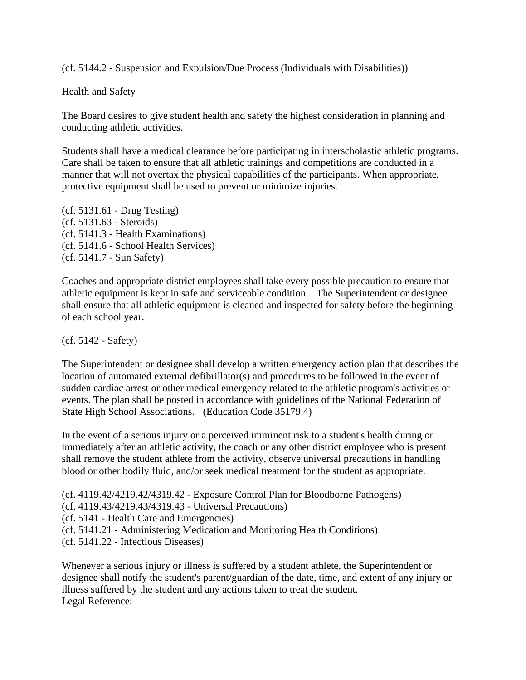(cf. 5144.2 - Suspension and Expulsion/Due Process (Individuals with Disabilities))

Health and Safety

The Board desires to give student health and safety the highest consideration in planning and conducting athletic activities.

Students shall have a medical clearance before participating in interscholastic athletic programs. Care shall be taken to ensure that all athletic trainings and competitions are conducted in a manner that will not overtax the physical capabilities of the participants. When appropriate, protective equipment shall be used to prevent or minimize injuries.

(cf. 5131.61 - Drug Testing) (cf. 5131.63 - Steroids) (cf. 5141.3 - Health Examinations) (cf. 5141.6 - School Health Services) (cf. 5141.7 - Sun Safety)

Coaches and appropriate district employees shall take every possible precaution to ensure that athletic equipment is kept in safe and serviceable condition. The Superintendent or designee shall ensure that all athletic equipment is cleaned and inspected for safety before the beginning of each school year.

(cf. 5142 - Safety)

The Superintendent or designee shall develop a written emergency action plan that describes the location of automated external defibrillator(s) and procedures to be followed in the event of sudden cardiac arrest or other medical emergency related to the athletic program's activities or events. The plan shall be posted in accordance with guidelines of the National Federation of State High School Associations. (Education Code 35179.4)

In the event of a serious injury or a perceived imminent risk to a student's health during or immediately after an athletic activity, the coach or any other district employee who is present shall remove the student athlete from the activity, observe universal precautions in handling blood or other bodily fluid, and/or seek medical treatment for the student as appropriate.

(cf. 4119.42/4219.42/4319.42 - Exposure Control Plan for Bloodborne Pathogens) (cf. 4119.43/4219.43/4319.43 - Universal Precautions) (cf. 5141 - Health Care and Emergencies) (cf. 5141.21 - Administering Medication and Monitoring Health Conditions) (cf. 5141.22 - Infectious Diseases)

Whenever a serious injury or illness is suffered by a student athlete, the Superintendent or designee shall notify the student's parent/guardian of the date, time, and extent of any injury or illness suffered by the student and any actions taken to treat the student. Legal Reference: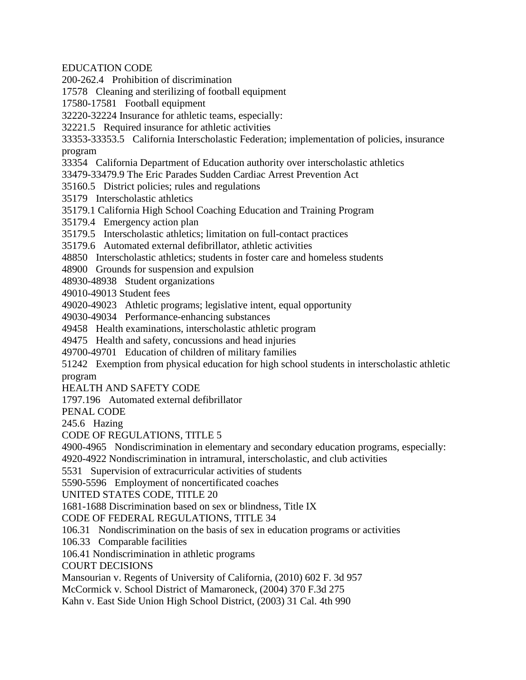EDUCATION CODE

200-262.4 Prohibition of discrimination

17578 Cleaning and sterilizing of football equipment

17580-17581 Football equipment

32220-32224 Insurance for athletic teams, especially:

32221.5 Required insurance for athletic activities

33353-33353.5 California Interscholastic Federation; implementation of policies, insurance program

33354 California Department of Education authority over interscholastic athletics

33479-33479.9 The Eric Parades Sudden Cardiac Arrest Prevention Act

35160.5 District policies; rules and regulations

35179 Interscholastic athletics

35179.1 California High School Coaching Education and Training Program

35179.4 Emergency action plan

35179.5 Interscholastic athletics; limitation on full-contact practices

35179.6 Automated external defibrillator, athletic activities

48850 Interscholastic athletics; students in foster care and homeless students

48900 Grounds for suspension and expulsion

48930-48938 Student organizations

49010-49013 Student fees

49020-49023 Athletic programs; legislative intent, equal opportunity

49030-49034 Performance-enhancing substances

49458 Health examinations, interscholastic athletic program

49475 Health and safety, concussions and head injuries

49700-49701 Education of children of military families

51242 Exemption from physical education for high school students in interscholastic athletic program

HEALTH AND SAFETY CODE

1797.196 Automated external defibrillator

PENAL CODE

245.6 Hazing

CODE OF REGULATIONS, TITLE 5

4900-4965 Nondiscrimination in elementary and secondary education programs, especially:

4920-4922 Nondiscrimination in intramural, interscholastic, and club activities

5531 Supervision of extracurricular activities of students

5590-5596 Employment of noncertificated coaches

UNITED STATES CODE, TITLE 20

1681-1688 Discrimination based on sex or blindness, Title IX

CODE OF FEDERAL REGULATIONS, TITLE 34

106.31 Nondiscrimination on the basis of sex in education programs or activities

106.33 Comparable facilities

106.41 Nondiscrimination in athletic programs

COURT DECISIONS

Mansourian v. Regents of University of California, (2010) 602 F. 3d 957

McCormick v. School District of Mamaroneck, (2004) 370 F.3d 275

Kahn v. East Side Union High School District, (2003) 31 Cal. 4th 990